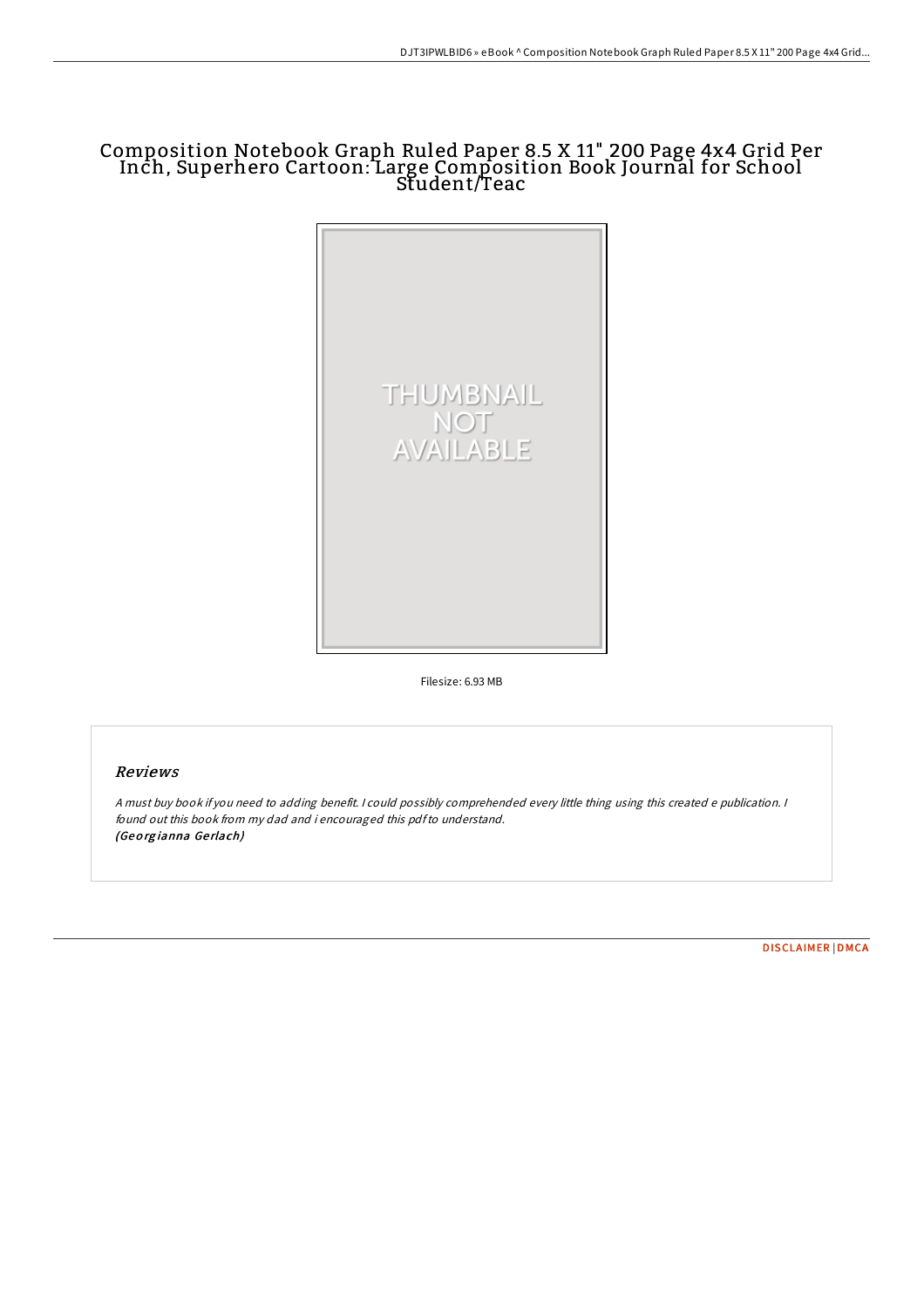# Composition Notebook Graph Ruled Paper 8.5 X 11" 200 Page 4x4 Grid Per Inch, Superhero Cartoon: Large Composition Book Journal for School Student/Teac



Filesize: 6.93 MB

## Reviews

<sup>A</sup> must buy book if you need to adding benefit. <sup>I</sup> could possibly comprehended every little thing using this created <sup>e</sup> publication. <sup>I</sup> found out this book from my dad and i encouraged this pdfto understand. (Geo rg ianna Ge rlach)

[DISCLAIMER](http://almighty24.tech/disclaimer.html) | [DMCA](http://almighty24.tech/dmca.html)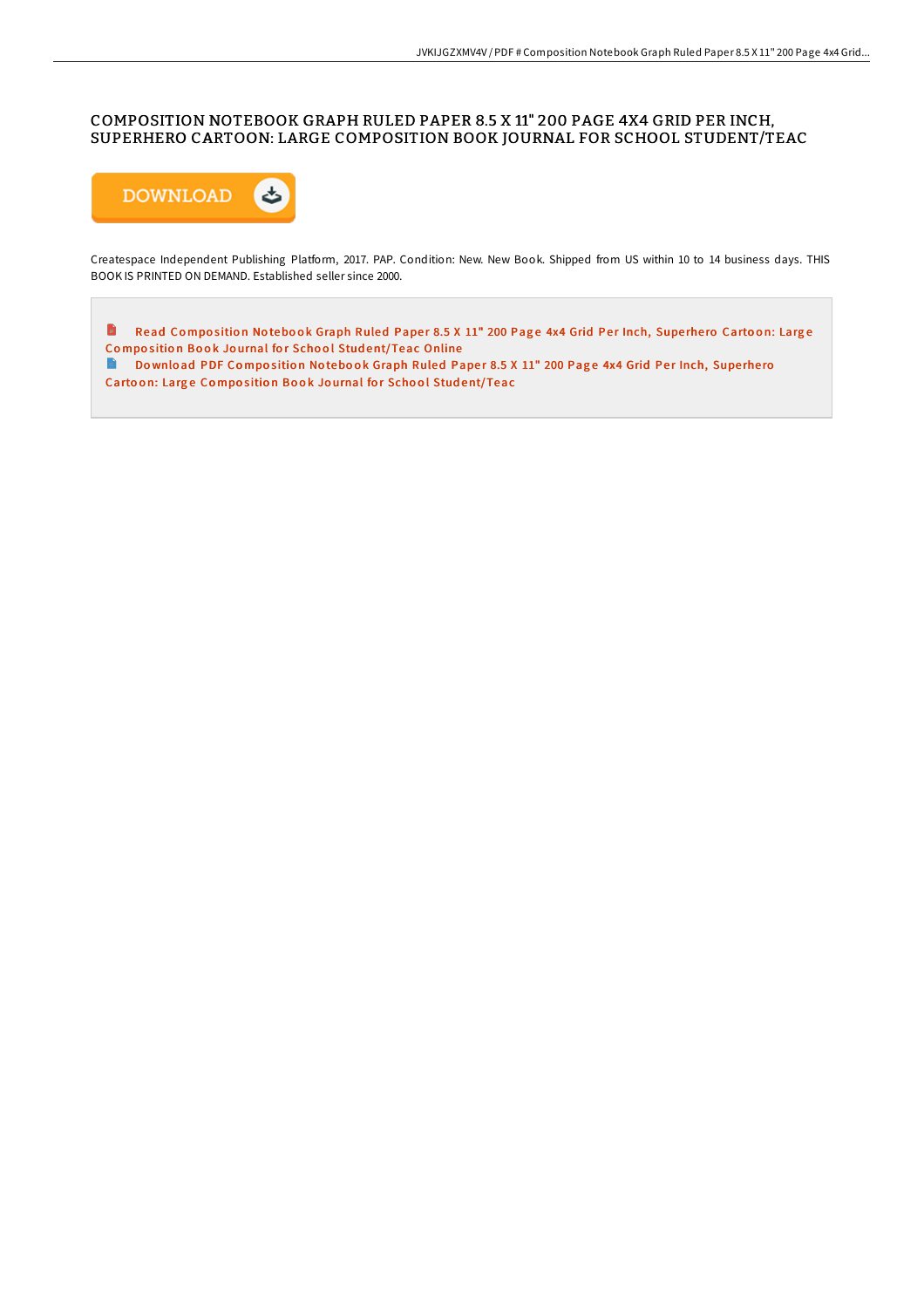## COMPOSITION NOTEBOOK GRAPH RULED PAPER 8.5 X 11" 200 PAGE 4X4 GRID PER INCH, SUPERHERO CARTOON: LARGE COMPOSITION BOOK JOURNAL FOR SCHOOL STUDENT/TEAC



Createspace Independent Publishing Platform, 2017. PAP. Condition: New. New Book. Shipped from US within 10 to 14 business days. THIS BOOK IS PRINTED ON DEMAND. Established seller since 2000.

 $\blacksquare$ Read Composition Notebook Graph Ruled Paper 8.5 X 11" 200 Page 4x4 Grid Per Inch, Superhero Cartoon: Large Composition Book Journal for School Stud[ent/Teac](http://almighty24.tech/composition-notebook-graph-ruled-paper-8-5-x-11--4.html) Online

Download PDF Composition Notebook Graph Ruled Paper 8.5 X 11" 200 Page 4x4 Grid Per Inch, Superhero Cartoon: Large Composition Book Journal for School Stud[ent/Teac](http://almighty24.tech/composition-notebook-graph-ruled-paper-8-5-x-11--4.html)